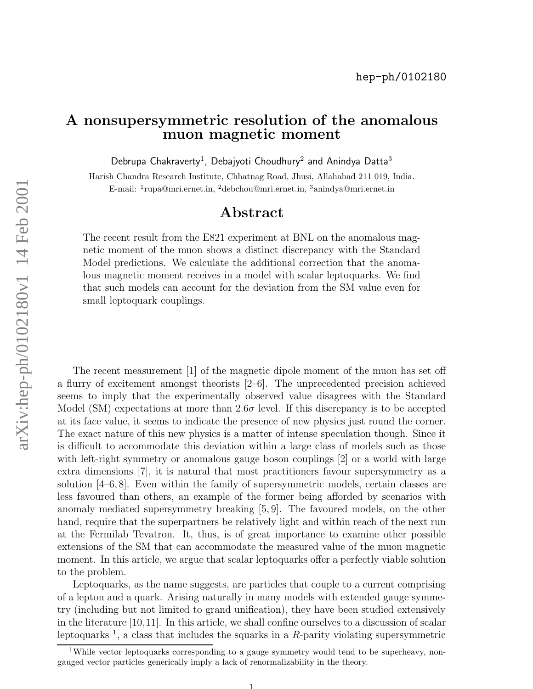## A nonsupersymmetric resolution of the anomalous muon magnetic moment

Debrupa Chakraverty<sup>1</sup>, Debajyoti Choudhury<sup>2</sup> and Anindya Datta<sup>3</sup>

Harish Chandra Research Institute, Chhatnag Road, Jhusi, Allahabad 211 019, India. E-mail: 1 rupa@mri.ernet.in, <sup>2</sup>debchou@mri.ernet.in, <sup>3</sup>anindya@mri.ernet.in

## Abstract

The recent result from the E821 experiment at BNL on the anomalous magnetic moment of the muon shows a distinct discrepancy with the Standard Model predictions. We calculate the additional correction that the anomalous magnetic moment receives in a model with scalar leptoquarks. We find that such models can account for the deviation from the SM value even for small leptoquark couplings.

The recent measurement [1] of the magnetic dipole moment of the muon has set off a flurry of excitement amongst theorists [2–6]. The unprecedented precision achieved seems to imply that the experimentally observed value disagrees with the Standard Model (SM) expectations at more than  $2.6\sigma$  level. If this discrepancy is to be accepted at its face value, it seems to indicate the presence of new physics just round the corner. The exact nature of this new physics is a matter of intense speculation though. Since it is difficult to accommodate this deviation within a large class of models such as those with left-right symmetry or anomalous gauge boson couplings [2] or a world with large extra dimensions [7], it is natural that most practitioners favour supersymmetry as a solution  $[4-6, 8]$ . Even within the family of supersymmetric models, certain classes are less favoured than others, an example of the former being afforded by scenarios with anomaly mediated supersymmetry breaking [5, 9]. The favoured models, on the other hand, require that the superpartners be relatively light and within reach of the next run at the Fermilab Tevatron. It, thus, is of great importance to examine other possible extensions of the SM that can accommodate the measured value of the muon magnetic moment. In this article, we argue that scalar leptoquarks offer a perfectly viable solution to the problem.

Leptoquarks, as the name suggests, are particles that couple to a current comprising of a lepton and a quark. Arising naturally in many models with extended gauge symmetry (including but not limited to grand unification), they have been studied extensively in the literature [10,11]. In this article, we shall confine ourselves to a discussion of scalar leptoquarks 1 , a class that includes the squarks in a R-parity violating supersymmetric

<sup>&</sup>lt;sup>1</sup>While vector leptoquarks corresponding to a gauge symmetry would tend to be superheavy, nongauged vector particles generically imply a lack of renormalizability in the theory.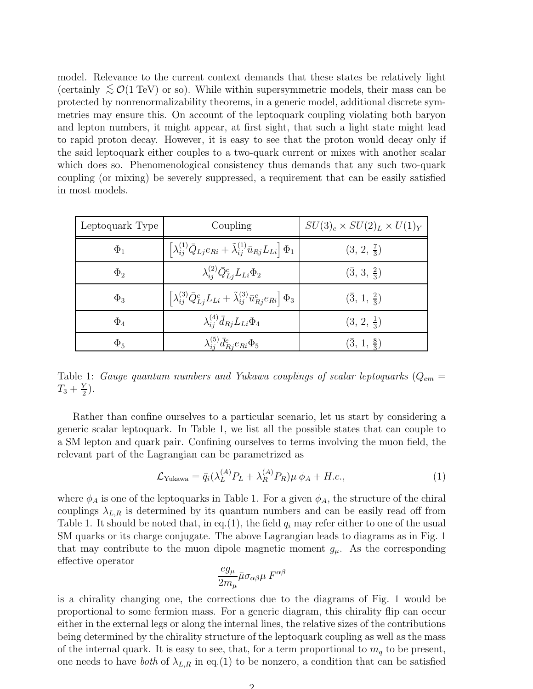model. Relevance to the current context demands that these states be relatively light (certainly  $\leq \mathcal{O}(1 \text{ TeV})$  or so). While within supersymmetric models, their mass can be protected by nonrenormalizability theorems, in a generic model, additional discrete symmetries may ensure this. On account of the leptoquark coupling violating both baryon and lepton numbers, it might appear, at first sight, that such a light state might lead to rapid proton decay. However, it is easy to see that the proton would decay only if the said leptoquark either couples to a two-quark current or mixes with another scalar which does so. Phenomenological consistency thus demands that any such two-quark coupling (or mixing) be severely suppressed, a requirement that can be easily satisfied in most models.

| Leptoquark Type | Coupling                                                                                                   | $SU(3)_c \times SU(2)_L \times U(1)_Y$ |
|-----------------|------------------------------------------------------------------------------------------------------------|----------------------------------------|
| $\Phi_1$        | $\left[\lambda_{ij}^{(1)}\bar{Q}_{Lj}e_{Ri}+\tilde{\lambda}_{ij}^{(1)}\bar{u}_{Rj}L_{Li}\right]\Phi_{1}$   | $(3, 2, \frac{7}{3})$                  |
| $\Phi_2$        | $\lambda_{ij}^{(2)} \bar{Q}_{L i}^c L_{Li} \Phi_2$                                                         | $(\bar{3}, 3, \frac{2}{3})$            |
| $\Phi_3$        | $\left[\lambda_{ij}^{(3)}\bar{Q}_{Lj}^cL_{Li}+\tilde{\lambda}_{ij}^{(3)}\bar{u}_{Rj}^ce_{Ri}\right]\Phi_3$ | $(\bar{3}, 1, \frac{2}{3})$            |
| $\Phi_4$        | $\lambda_{ij}^{(4)} \bar{d}_{Rj} L_{Li} \Phi_4$                                                            | $(3, 2, \frac{1}{3})$                  |
| $\Phi_5$        | $\lambda_{ij}^{(5)} \bar{d}_{Rj}^c e_{Ri} \Phi_5$                                                          | $(3, 1, \frac{8}{3})$                  |

Table 1: Gauge quantum numbers and Yukawa couplings of scalar leptoquarks  $(Q_{em} =$  $T_3+\frac{Y}{2}$  $\frac{Y}{2}$ .

Rather than confine ourselves to a particular scenario, let us start by considering a generic scalar leptoquark. In Table 1, we list all the possible states that can couple to a SM lepton and quark pair. Confining ourselves to terms involving the muon field, the relevant part of the Lagrangian can be parametrized as

$$
\mathcal{L}_{\text{Yukawa}} = \bar{q}_i(\lambda_L^{(A)} P_L + \lambda_R^{(A)} P_R) \mu \phi_A + H.c., \tag{1}
$$

where  $\phi_A$  is one of the leptoquarks in Table 1. For a given  $\phi_A$ , the structure of the chiral couplings  $\lambda_{L,R}$  is determined by its quantum numbers and can be easily read off from Table 1. It should be noted that, in eq.(1), the field  $q_i$  may refer either to one of the usual SM quarks or its charge conjugate. The above Lagrangian leads to diagrams as in Fig. 1 that may contribute to the muon dipole magnetic moment  $g_{\mu}$ . As the corresponding effective operator

$$
\frac{eg_\mu}{2m_\mu}\bar{\mu}\sigma_{\alpha\beta}\mu\;F^{\alpha\beta}
$$

is a chirality changing one, the corrections due to the diagrams of Fig. 1 would be proportional to some fermion mass. For a generic diagram, this chirality flip can occur either in the external legs or along the internal lines, the relative sizes of the contributions being determined by the chirality structure of the leptoquark coupling as well as the mass of the internal quark. It is easy to see, that, for a term proportional to  $m_q$  to be present, one needs to have both of  $\lambda_{L,R}$  in eq.(1) to be nonzero, a condition that can be satisfied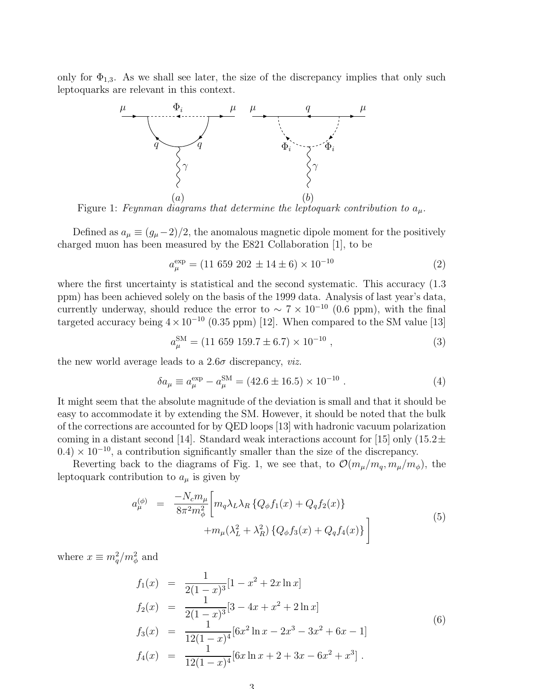only for  $\Phi_{1,3}$ . As we shall see later, the size of the discrepancy implies that only such leptoquarks are relevant in this context.



Figure 1: Feynman diagrams that determine the leptoquark contribution to  $a_{\mu}$ .

Defined as  $a_{\mu} \equiv (g_{\mu} - 2)/2$ , the anomalous magnetic dipole moment for the positively charged muon has been measured by the E821 Collaboration [1], to be

$$
a_{\mu}^{\exp} = (11\ 659\ 202\ \pm 14\ \pm 6) \times 10^{-10} \tag{2}
$$

where the first uncertainty is statistical and the second systematic. This accuracy  $(1.3)$ ppm) has been achieved solely on the basis of the 1999 data. Analysis of last year's data, currently underway, should reduce the error to  $\sim 7 \times 10^{-10}$  (0.6 ppm), with the final targeted accuracy being  $4 \times 10^{-10}$  (0.35 ppm) [12]. When compared to the SM value [13]

$$
a_{\mu}^{\text{SM}} = (11\ 659\ 159.7 \pm 6.7) \times 10^{-10} \,, \tag{3}
$$

the new world average leads to a  $2.6\sigma$  discrepancy, *viz.* 

$$
\delta a_{\mu} \equiv a_{\mu}^{\text{exp}} - a_{\mu}^{\text{SM}} = (42.6 \pm 16.5) \times 10^{-10} . \tag{4}
$$

It might seem that the absolute magnitude of the deviation is small and that it should be easy to accommodate it by extending the SM. However, it should be noted that the bulk of the corrections are accounted for by QED loops [13] with hadronic vacuum polarization coming in a distant second [14]. Standard weak interactions account for [15] only  $(15.2 \pm$  $(0.4) \times 10^{-10}$ , a contribution significantly smaller than the size of the discrepancy.

Reverting back to the diagrams of Fig. 1, we see that, to  $\mathcal{O}(m_\mu/m_q, m_\mu/m_\phi)$ , the leptoquark contribution to  $a_{\mu}$  is given by

$$
a_{\mu}^{(\phi)} = \frac{-N_c m_{\mu}}{8\pi^2 m_{\phi}^2} \bigg[ m_q \lambda_L \lambda_R \{ Q_{\phi} f_1(x) + Q_q f_2(x) \} + m_{\mu} (\lambda_L^2 + \lambda_R^2) \{ Q_{\phi} f_3(x) + Q_q f_4(x) \} \bigg]
$$
(5)

where  $x \equiv m_q^2/m_\phi^2$  and

$$
f_1(x) = \frac{1}{2(1-x)^3} [1 - x^2 + 2x \ln x]
$$
  
\n
$$
f_2(x) = \frac{1}{2(1-x)^3} [3 - 4x + x^2 + 2 \ln x]
$$
  
\n
$$
f_3(x) = \frac{1}{12(1-x)^4} [6x^2 \ln x - 2x^3 - 3x^2 + 6x - 1]
$$
  
\n
$$
f_4(x) = \frac{1}{12(1-x)^4} [6x \ln x + 2 + 3x - 6x^2 + x^3].
$$
\n(6)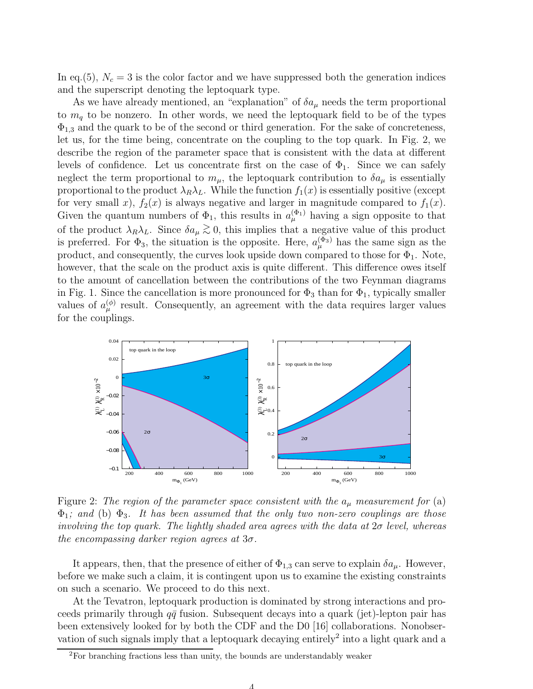In eq.(5),  $N_c = 3$  is the color factor and we have suppressed both the generation indices and the superscript denoting the leptoquark type.

As we have already mentioned, an "explanation" of  $\delta a_\mu$  needs the term proportional to  $m_q$  to be nonzero. In other words, we need the leptoquark field to be of the types  $\Phi_{1,3}$  and the quark to be of the second or third generation. For the sake of concreteness, let us, for the time being, concentrate on the coupling to the top quark. In Fig. 2, we describe the region of the parameter space that is consistent with the data at different levels of confidence. Let us concentrate first on the case of  $\Phi_1$ . Since we can safely neglect the term proportional to  $m_{\mu}$ , the leptoquark contribution to  $\delta a_{\mu}$  is essentially proportional to the product  $\lambda_R \lambda_L$ . While the function  $f_1(x)$  is essentially positive (except for very small x),  $f_2(x)$  is always negative and larger in magnitude compared to  $f_1(x)$ . Given the quantum numbers of  $\Phi_1$ , this results in  $a_{\mu}^{(\Phi_1)}$  having a sign opposite to that of the product  $\lambda_R \lambda_L$ . Since  $\delta a_\mu \gtrsim 0$ , this implies that a negative value of this product is preferred. For  $\Phi_3$ , the situation is the opposite. Here,  $a_{\mu}^{(\Phi_3)}$  has the same sign as the product, and consequently, the curves look upside down compared to those for  $\Phi_1$ . Note, however, that the scale on the product axis is quite different. This difference owes itself to the amount of cancellation between the contributions of the two Feynman diagrams in Fig. 1. Since the cancellation is more pronounced for  $\Phi_3$  than for  $\Phi_1$ , typically smaller values of  $a_{\mu}^{(\phi)}$  result. Consequently, an agreement with the data requires larger values for the couplings.



Figure 2: The region of the parameter space consistent with the  $a_{\mu}$  measurement for (a)  $\Phi_1$ ; and (b)  $\Phi_3$ . It has been assumed that the only two non-zero couplings are those involving the top quark. The lightly shaded area agrees with the data at  $2\sigma$  level, whereas the encompassing darker region agrees at  $3\sigma$ .

It appears, then, that the presence of either of  $\Phi_{1,3}$  can serve to explain  $\delta a_\mu$ . However, before we make such a claim, it is contingent upon us to examine the existing constraints on such a scenario. We proceed to do this next.

At the Tevatron, leptoquark production is dominated by strong interactions and proceeds primarily through  $q\bar{q}$  fusion. Subsequent decays into a quark (jet)-lepton pair has been extensively looked for by both the CDF and the D0 [16] collaborations. Nonobservation of such signals imply that a leptoquark decaying entirely<sup>2</sup> into a light quark and a

<sup>2</sup>For branching fractions less than unity, the bounds are understandably weaker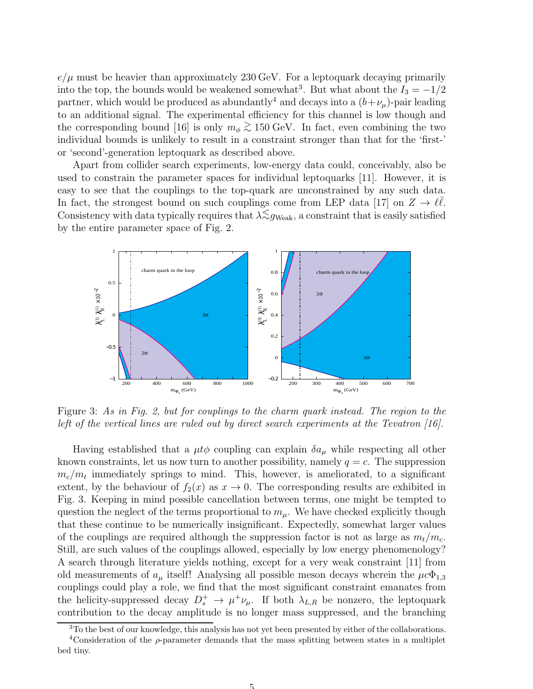$e/\mu$  must be heavier than approximately 230 GeV. For a leptoquark decaying primarily into the top, the bounds would be weakened somewhat<sup>3</sup>. But what about the  $I_3 = -1/2$ partner, which would be produced as abundantly<sup>4</sup> and decays into a  $(b+\nu_\mu)$ -pair leading to an additional signal. The experimental efficiency for this channel is low though and the corresponding bound [16] is only  $m_{\phi} \gtrsim 150 \text{ GeV}$ . In fact, even combining the two  $\therefore$  is in the two second intervals the theoretical intervals. individual bounds is unlikely to result in a constraint stronger than that for the 'first-' or 'second'-generation leptoquark as described above.

Apart from collider search experiments, low-energy data could, conceivably, also be used to constrain the parameter spaces for individual leptoquarks [11]. However, it is easy to see that the couplings to the top-quark are unconstrained by any such data. In fact, the strongest bound on such couplings come from LEP data [17] on  $Z \to \ell \bar{\ell}$ . Consistency with data typically requires that  $\lambda \lesssim g_{\text{Weak}}$ , a constraint that is easily satisfied by the entire parameter space of Fig. 2.



Figure 3: As in Fig. 2, but for couplings to the charm quark instead. The region to the left of the vertical lines are ruled out by direct search experiments at the Tevatron [16].

Having established that a  $\mu t\phi$  coupling can explain  $\delta a_\mu$  while respecting all other known constraints, let us now turn to another possibility, namely  $q = c$ . The suppression  $m_c/m_t$  immediately springs to mind. This, however, is ameliorated, to a significant extent, by the behaviour of  $f_2(x)$  as  $x \to 0$ . The corresponding results are exhibited in Fig. 3. Keeping in mind possible cancellation between terms, one might be tempted to question the neglect of the terms proportional to  $m<sub>u</sub>$ . We have checked explicitly though that these continue to be numerically insignificant. Expectedly, somewhat larger values of the couplings are required although the suppression factor is not as large as  $m_t/m_c$ . Still, are such values of the couplings allowed, especially by low energy phenomenology? A search through literature yields nothing, except for a very weak constraint [11] from old measurements of  $a_\mu$  itself! Analysing all possible meson decays wherein the  $\mu c \Phi_{1,3}$ couplings could play a role, we find that the most significant constraint emanates from the helicity-suppressed decay  $D_s^+ \to \mu^+\nu_\mu$ . If both  $\lambda_{L,R}$  be nonzero, the leptoquark contribution to the decay amplitude is no longer mass suppressed, and the branching

 $3T_0$  the best of our knowledge, this analysis has not yet been presented by either of the collaborations.

<sup>&</sup>lt;sup>4</sup>Consideration of the  $\rho$ -parameter demands that the mass splitting between states in a multiplet bed tiny.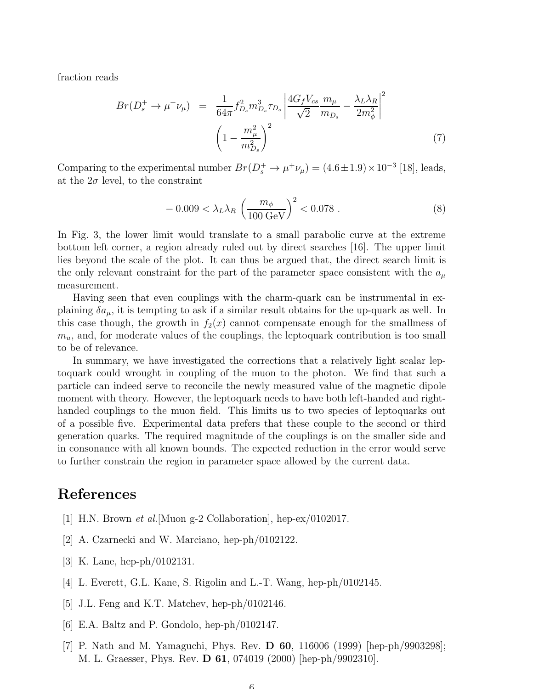fraction reads

$$
Br(D_s^+ \to \mu^+ \nu_\mu) = \frac{1}{64\pi} f_{D_s}^2 m_{D_s}^3 \tau_{D_s} \left| \frac{4G_f V_{cs}}{\sqrt{2}} \frac{m_\mu}{m_{D_s}} - \frac{\lambda_L \lambda_R}{2m_\phi^2} \right|^2
$$
  

$$
\left(1 - \frac{m_\mu^2}{m_{D_s}^2}\right)^2
$$
 (7)

Comparing to the experimental number  $Br(D_s^+ \to \mu^+\nu_\mu) = (4.6 \pm 1.9) \times 10^{-3}$  [18], leads, at the  $2\sigma$  level, to the constraint

$$
-0.009 < \lambda_L \lambda_R \left(\frac{m_\phi}{100 \text{ GeV}}\right)^2 < 0.078 . \tag{8}
$$

In Fig. 3, the lower limit would translate to a small parabolic curve at the extreme bottom left corner, a region already ruled out by direct searches [16]. The upper limit lies beyond the scale of the plot. It can thus be argued that, the direct search limit is the only relevant constraint for the part of the parameter space consistent with the  $a_{\mu}$ measurement.

Having seen that even couplings with the charm-quark can be instrumental in explaining  $\delta a_{\mu}$ , it is tempting to ask if a similar result obtains for the up-quark as well. In this case though, the growth in  $f_2(x)$  cannot compensate enough for the smallmess of  $m_u$ , and, for moderate values of the couplings, the leptoquark contribution is too small to be of relevance.

In summary, we have investigated the corrections that a relatively light scalar leptoquark could wrought in coupling of the muon to the photon. We find that such a particle can indeed serve to reconcile the newly measured value of the magnetic dipole moment with theory. However, the leptoquark needs to have both left-handed and righthanded couplings to the muon field. This limits us to two species of leptoquarks out of a possible five. Experimental data prefers that these couple to the second or third generation quarks. The required magnitude of the couplings is on the smaller side and in consonance with all known bounds. The expected reduction in the error would serve to further constrain the region in parameter space allowed by the current data.

## References

- [1] H.N. Brown *et al.*[Muon g-2 Collaboration], hep-ex/0102017.
- [2] A. Czarnecki and W. Marciano, hep-ph/0102122.
- [3] K. Lane, hep-ph/0102131.
- [4] L. Everett, G.L. Kane, S. Rigolin and L.-T. Wang, hep-ph/0102145.
- [5] J.L. Feng and K.T. Matchev, hep-ph/0102146.
- [6] E.A. Baltz and P. Gondolo, hep-ph/0102147.
- [7] P. Nath and M. Yamaguchi, Phys. Rev. D 60, 116006 (1999) [hep-ph/9903298]; M. L. Graesser, Phys. Rev. D 61, 074019 (2000) [hep-ph/9902310].